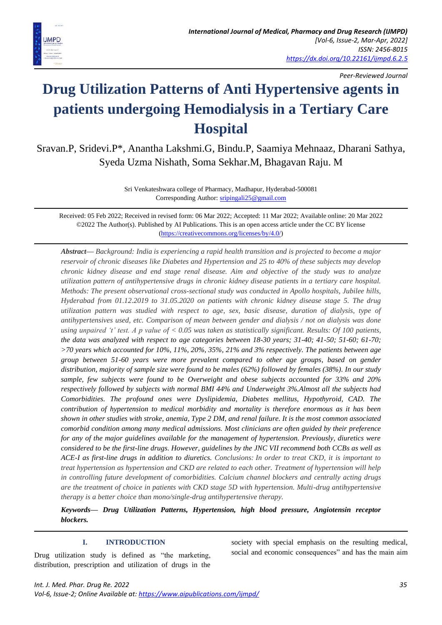

*Peer-Reviewed Journal*

# **Drug Utilization Patterns of Anti Hypertensive agents in patients undergoing Hemodialysis in a Tertiary Care Hospital**

Sravan.P, Sridevi.P\*, Anantha Lakshmi.G, Bindu.P, Saamiya Mehnaaz, Dharani Sathya, Syeda Uzma Nishath, Soma Sekhar.M, Bhagavan Raju. M

> Sri Venkateshwara college of Pharmacy, Madhapur, Hyderabad-500081 Corresponding Author: [sripingali25@gmail.com](mailto:sripingali25@gmail.com)

Received: 05 Feb 2022; Received in revised form: 06 Mar 2022; Accepted: 11 Mar 2022; Available online: 20 Mar 2022 ©2022 The Author(s). Published by AI Publications. This is an open access article under the CC BY license [\(https://creativecommons.org/licenses/by/4.0/\)](https://creativecommons.org/licenses/by/4.0/)

*Abstract— Background: India is experiencing a rapid health transition and is projected to become a major reservoir of chronic diseases like Diabetes and Hypertension and 25 to 40% of these subjects may develop chronic kidney disease and end stage renal disease. Aim and objective of the study was to analyze utilization pattern of antihypertensive drugs in chronic kidney disease patients in a tertiary care hospital. Methods: The present observational cross-sectional study was conducted in Apollo hospitals, Jubilee hills, Hyderabad from 01.12.2019 to 31.05.2020 on patients with chronic kidney disease stage 5. The drug utilization pattern was studied with respect to age, sex, basic disease, duration of dialysis, type of antihypertensives used, etc. Comparison of mean between gender and dialysis / not on dialysis was done using unpaired 't' test. A p value of < 0.05 was taken as statistically significant. Results: Of 100 patients, the data was analyzed with respect to age categories between 18-30 years; 31-40; 41-50; 51-60; 61-70; >70 years which accounted for 10%, 11%, 20%, 35%, 21% and 3% respectively. The patients between age group between 51-60 years were more prevalent compared to other age groups, based on gender distribution, majority of sample size were found to be males (62%) followed by females (38%). In our study sample, few subjects were found to be Overweight and obese subjects accounted for 33% and 20% respectively followed by subjects with normal BMI 44% and Underweight 3%.Almost all the subjects had Comorbidities. The profound ones were Dyslipidemia, Diabetes mellitus, Hypothyroid, CAD. The contribution of hypertension to medical morbidity and mortality is therefore enormous as it has been shown in other studies with stroke, anemia, Type 2 DM, and renal failure. It is the most common associated comorbid condition among many medical admissions. Most clinicians are often guided by their preference for any of the major guidelines available for the management of hypertension. Previously, diuretics were considered to be the first-line drugs. However, guidelines by the JNC VII recommend both CCBs as well as ACE-I as first-line drugs in addition to diuretics. Conclusions: In order to treat CKD, it is important to treat hypertension as hypertension and CKD are related to each other. Treatment of hypertension will help in controlling future development of comorbidities. Calcium channel blockers and centrally acting drugs are the treatment of choice in patients with CKD stage 5D with hypertension. Multi-drug antihypertensive therapy is a better choice than mono/single-drug antihypertensive therapy.*

*Keywords— Drug Utilization Patterns, Hypertension, high blood pressure, Angiotensin receptor blockers.*

## **I. INTRODUCTION**

Drug utilization study is defined as "the marketing, distribution, prescription and utilization of drugs in the society with special emphasis on the resulting medical, social and economic consequences" and has the main aim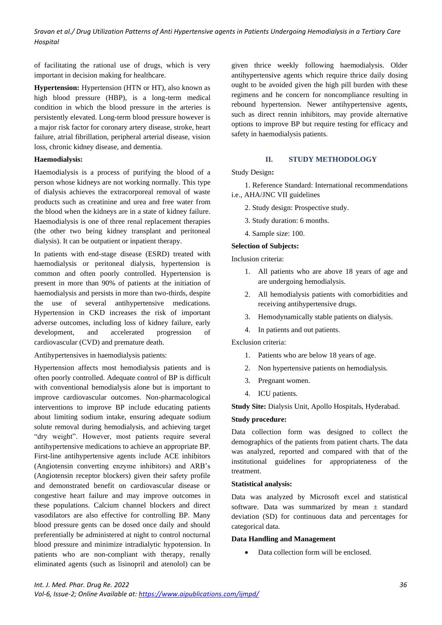of facilitating the rational use of drugs, which is very important in decision making for healthcare.

**Hypertension:** Hypertension (HTN or HT), also known as high blood pressure (HBP), is a long-term medical condition in which the blood pressure in the arteries is persistently elevated. Long-term blood pressure however is a major risk factor for coronary artery disease, stroke, heart failure, atrial fibrillation, peripheral arterial disease, vision loss, chronic kidney disease, and dementia.

## **Haemodialysis:**

Haemodialysis is a process of purifying the blood of a person whose kidneys are not working normally. This type of dialysis achieves the extracorporeal removal of waste products such as creatinine and urea and free water from the blood when the kidneys are in a state of kidney failure. Haemodialysis is one of three renal replacement therapies (the other two being kidney transplant and peritoneal dialysis). It can be outpatient or inpatient therapy.

In patients with end-stage disease (ESRD) treated with haemodialysis or peritoneal dialysis, hypertension is common and often poorly controlled. Hypertension is present in more than 90% of patients at the initiation of haemodialysis and persists in more than two-thirds, despite the use of several antihypertensive medications. Hypertension in CKD increases the risk of important adverse outcomes, including loss of kidney failure, early development, and accelerated progression of cardiovascular (CVD) and premature death.

Antihypertensives in haemodialysis patients:

Hypertension affects most hemodialysis patients and is often poorly controlled. Adequate control of BP is difficult with conventional hemodialysis alone but is important to improve cardiovascular outcomes. Non-pharmacological interventions to improve BP include educating patients about limiting sodium intake, ensuring adequate sodium solute removal during hemodialysis, and achieving target "dry weight". However, most patients require several antihypertensive medications to achieve an appropriate BP. First-line antihypertensive agents include ACE inhibitors (Angiotensin converting enzyme inhibitors) and ARB's (Angiotensin receptor blockers) given their safety profile and demonstrated benefit on cardiovascular disease or congestive heart failure and may improve outcomes in these populations. Calcium channel blockers and direct vasodilators are also effective for controlling BP. Many blood pressure gents can be dosed once daily and should preferentially be administered at night to control nocturnal blood pressure and minimize intradialytic hypotension. In patients who are non-compliant with therapy, renally eliminated agents (such as lisinopril and atenolol) can be given thrice weekly following haemodialysis. Older antihypertensive agents which require thrice daily dosing ought to be avoided given the high pill burden with these regimens and he concern for noncompliance resulting in rebound hypertension. Newer antihypertensive agents, such as direct rennin inhibitors, may provide alternative options to improve BP but require testing for efficacy and safety in haemodialysis patients.

## **II. STUDY METHODOLOGY**

Study Design**:**

1. Reference Standard: International recommendations i.e., AHA/JNC VII guidelines

- 2. Study design: Prospective study.
- 3. Study duration: 6 months.
- 4. Sample size: 100.

## **Selection of Subjects:**

Inclusion criteria:

- 1. All patients who are above 18 years of age and are undergoing hemodialysis.
- 2. All hemodialysis patients with comorbidities and receiving antihypertensive drugs.
- 3. Hemodynamically stable patients on dialysis.
- 4. In patients and out patients.

Exclusion criteria:

- 1. Patients who are below 18 years of age.
- 2. Non hypertensive patients on hemodialysis.
- 3. Pregnant women.
- 4. ICU patients.

**Study Site:** Dialysis Unit, Apollo Hospitals, Hyderabad.

## **Study procedure:**

Data collection form was designed to collect the demographics of the patients from patient charts. The data was analyzed, reported and compared with that of the institutional guidelines for appropriateness of the treatment.

## **Statistical analysis:**

Data was analyzed by Microsoft excel and statistical software. Data was summarized by mean ± standard deviation (SD) for continuous data and percentages for categorical data.

## **Data Handling and Management**

• Data collection form will be enclosed.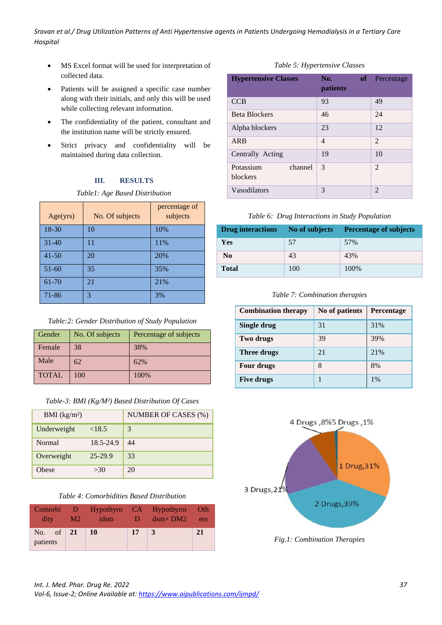- MS Excel format will be used for interpretation of collected data.
- Patients will be assigned a specific case number along with their initials, and only this will be used while collecting relevant information.
- The confidentiality of the patient, consultant and the institution name will be strictly ensured.
- Strict privacy and confidentiality will be maintained during data collection.

## **III. RESULTS**

*Table1: Age Based Distribution*

| Age(yrs)  | No. Of subjects | percentage of<br>subjects |
|-----------|-----------------|---------------------------|
| 18-30     | 10              | 10%                       |
| $31 - 40$ | 11              | 11%                       |
| $41 - 50$ | 20              | 20%                       |
| $51 - 60$ | 35              | 35%                       |
| 61-70     | 21              | 21%                       |
| 71-86     | 3               | 3%                        |

*Table:2: Gender Distribution of Study Population*

| Gender       | No. Of subjects | Percentage of subjects |
|--------------|-----------------|------------------------|
| Female       | 38              | 38%                    |
| Male         | 62              | 62%                    |
| <b>TOTAL</b> | 100             | 100%                   |

|  |  | Table-3: BMI (Kg/M <sup>2</sup> ) Based Distribution Of Cases |  |
|--|--|---------------------------------------------------------------|--|
|  |  |                                                               |  |

| BMI $(kg/m2)$ |           | NUMBER OF CASES (%) |
|---------------|-----------|---------------------|
| Underweight   | <18.5     | 3                   |
| <b>Normal</b> | 18.5-24.9 | 44                  |
| Overweight    | 25-29.9   | 33                  |
| Obese         | >30       | 20                  |

| Table 4: Comorbidities Based Distribution |  |
|-------------------------------------------|--|
|-------------------------------------------|--|

| $\operatorname{dit}$                                                          | M2 | idsm | $\blacksquare$ | Comorbi D Hypothyro CA Hypothyroi Oth<br>$\dim_{2} B M 2$ | ers |
|-------------------------------------------------------------------------------|----|------|----------------|-----------------------------------------------------------|-----|
| No. of $\begin{array}{ c c c } \hline 21 & 10 \hline \end{array}$<br>patients |    |      | 17             | 3                                                         | 21  |

## *Table 5: Hypertensive Classes*

| <b>Hypertensive Classes</b>             | No.<br>patients | of Percentage  |
|-----------------------------------------|-----------------|----------------|
| <b>CCB</b>                              | 93              | 49             |
| <b>Beta Blockers</b>                    | 46              | 24             |
| Alpha blockers                          | 23              | 12             |
| ARB                                     | $\overline{4}$  | 2              |
| Centrally Acting                        | 19              | 10             |
| Potassium<br>channel<br><b>blockers</b> | $\mathcal{E}$   | $\overline{2}$ |
| Vasodilators                            | 3               | $\mathfrak{D}$ |

## *Table 6: Drug Interactions in Study Population*

| <b>Drug interactions</b> | No of subjects | <b>Percentage of subjects</b> |
|--------------------------|----------------|-------------------------------|
| Yes                      | 57             | 57%                           |
| N <sub>0</sub>           | 43             | 43%                           |
| <b>Total</b>             | 100            | 100%                          |

*Table 7: Combination therapies*

| <b>Combination therapy</b> | No of patients | Percentage |
|----------------------------|----------------|------------|
| Single drug                | 31             | 31%        |
| Two drugs                  | 39             | 39%        |
| Three drugs                | 21             | 21%        |
| <b>Four drugs</b>          | 8              | 8%         |
| <b>Five drugs</b>          |                | $1\%$      |



*Fig.1: Combination Therapies*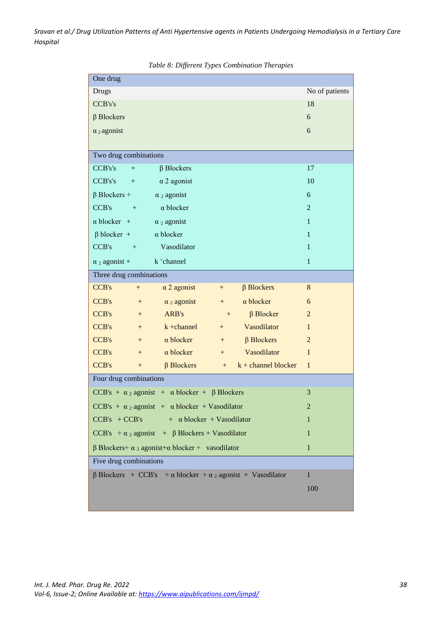| One drug                                                                       |                |  |  |
|--------------------------------------------------------------------------------|----------------|--|--|
| <b>Drugs</b>                                                                   | No of patients |  |  |
| CCB's's                                                                        | 18             |  |  |
| $\beta$ Blockers                                                               | 6              |  |  |
| $\alpha_2$ agonist                                                             | 6              |  |  |
|                                                                                |                |  |  |
| Two drug combinations                                                          |                |  |  |
| CCB's's<br>$\beta$ Blockers<br>$+$                                             | 17             |  |  |
| CCB's's<br>$\alpha$ 2 agonist<br>$+$                                           | 10             |  |  |
| $\beta$ Blockers +<br>$\alpha_2$ agonist                                       | 6              |  |  |
| CCB's<br>$\alpha$ blocker<br>$+$                                               | $\overline{2}$ |  |  |
| $\alpha$ blocker +<br>$\alpha$ 2 agonist                                       | $\mathbf{1}$   |  |  |
| $\beta$ blocker +<br>$\alpha$ blocker                                          | $\mathbf{1}$   |  |  |
| Vasodilator<br>CCB's<br>$\sim$ $+$                                             | $\mathbf{1}$   |  |  |
| k <sup>+</sup> channel<br>$\alpha$ 2 agonist +                                 | $\mathbf{1}$   |  |  |
| Three drug combinations                                                        |                |  |  |
| $\alpha$ 2 agonist<br>$\beta$ Blockers<br>CCB's<br>$+$<br>$+$                  | 8              |  |  |
| $\alpha$ blocker<br><b>CCB's</b><br>$\alpha_2$ agonist<br>$^{+}$<br>$^{+}$     | 6              |  |  |
| CCB's<br>$\beta$ Blocker<br>ARB's<br>$+$<br>$^{+}$                             | $\overline{2}$ |  |  |
| Vasodilator<br><b>CCB's</b><br>$k + channel$<br>$+$<br>$+$                     | $\mathbf{1}$   |  |  |
| <b>CCB's</b><br>$\alpha$ blocker<br>$\beta$ Blockers<br>$+$<br>$+$             | $\overline{2}$ |  |  |
| $\alpha$ blocker<br>Vasodilator<br><b>CCB's</b><br>$+$<br>$+$                  | $\mathbf{1}$   |  |  |
| CCB's<br>$\beta$ Blockers<br>$k + channel blocker$<br>$+$<br>$^{+}$            | $\mathbf{1}$   |  |  |
| Four drug combinations                                                         |                |  |  |
| CCB's + $\alpha_2$ agonist + $\alpha$ blocker + $\beta$ Blockers               | 3              |  |  |
| CCB's + $\alpha_2$ agonist + $\alpha$ blocker + Vasodilator                    | $\overline{2}$ |  |  |
| $CCB's + CCB's$<br>$+ \alpha$ blocker + Vasodilator                            | 1              |  |  |
| CCB's + $\alpha_2$ agonist + $\beta$ Blockers + Vasodilator                    | 1              |  |  |
| $\beta$ Blockers+ $\alpha$ 2 agonist+ $\alpha$ blocker + vasodilator           | 1              |  |  |
| Five drug combinations                                                         |                |  |  |
| $\beta$ Blockers + CCB's + $\alpha$ blocker + $\alpha$ 2 agonist + Vasodilator | $\mathbf{1}$   |  |  |
|                                                                                | 100            |  |  |
|                                                                                |                |  |  |

*Table 8: Different Types Combination Therapies*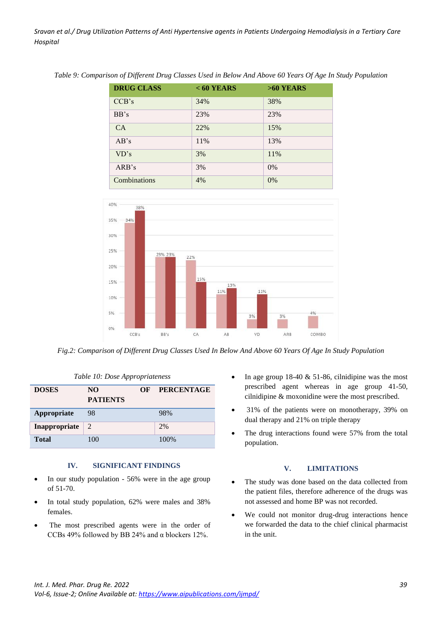| <b>DRUG CLASS</b> | $< 60$ YEARS | $>60$ YEARS |
|-------------------|--------------|-------------|
| CCB's             | 34%          | 38%         |
| BB's              | 23%          | 23%         |
| CA                | 22%          | 15%         |
| AB's              | 11%          | 13%         |
| VD's              | 3%           | 11%         |
| ARB's             | 3%           | $0\%$       |
| Combinations      | 4%           | 0%          |

*Table 9: Comparison of Different Drug Classes Used in Below And Above 60 Years Of Age In Study Population*



*Fig.2: Comparison of Different Drug Classes Used In Below And Above 60 Years Of Age In Study Population*

| <b>DOSES</b>  | NO.<br><b>PATIENTS</b> | OF | <b>PERCENTAGE</b> |
|---------------|------------------------|----|-------------------|
| Appropriate   | 98                     |    | 98%               |
| Inappropriate | 2                      |    | 2%                |
| <b>Total</b>  | 100                    |    | 100%              |

#### *Table 10: Dose Appropriateness*

#### **IV. SIGNIFICANT FINDINGS**

- In our study population 56% were in the age group of 51-70.
- In total study population, 62% were males and 38% females.
- The most prescribed agents were in the order of CCBs 49% followed by BB 24% and α blockers 12%.
- In age group 18-40 & 51-86, cilnidipine was the most prescribed agent whereas in age group 41-50, cilnidipine & moxonidine were the most prescribed.
- 31% of the patients were on monotherapy, 39% on dual therapy and 21% on triple therapy
- The drug interactions found were 57% from the total population.

## **V. LIMITATIONS**

- The study was done based on the data collected from the patient files, therefore adherence of the drugs was not assessed and home BP was not recorded.
- We could not monitor drug-drug interactions hence we forwarded the data to the chief clinical pharmacist in the unit.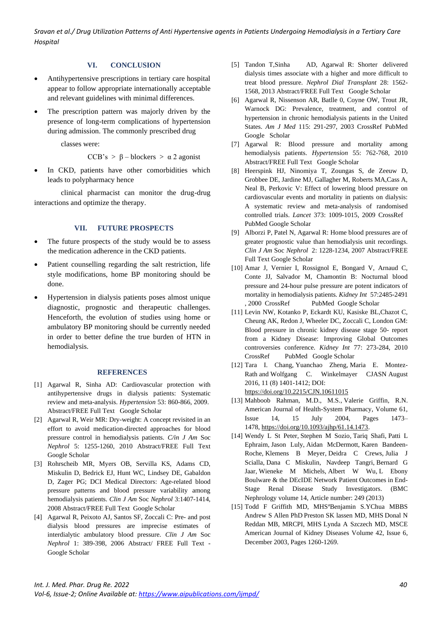## **VI. CONCLUSION**

- Antihypertensive prescriptions in tertiary care hospital appear to follow appropriate internationally acceptable and relevant guidelines with minimal differences.
- The prescription pattern was majorly driven by the presence of long-term complications of hypertension during admission. The commonly prescribed drug

classes were:

$$
CCB's > \beta - blocksers > \alpha 2 agonist
$$

In CKD, patients have other comorbidities which leads to polypharmacy hence

clinical pharmacist can monitor the drug-drug interactions and optimize the therapy.

#### **VII. FUTURE PROSPECTS**

- The future prospects of the study would be to assess the medication adherence in the CKD patients.
- Patient counselling regarding the salt restriction, life style modifications, home BP monitoring should be done.
- Hypertension in dialysis patients poses almost unique diagnostic, prognostic and therapeutic challenges. Henceforth, the evolution of studies using home or ambulatory BP monitoring should be currently needed in order to better define the true burden of HTN in hemodialysis.

#### **REFERENCES**

- [1] Agarwal R, Sinha AD: Cardiovascular protection with antihypertensive drugs in dialysis patients: Systematic review and meta-analysis. *Hypertension* 53: 860-866, 2009. Abstract/FREE Full Text Google Scholar
- [2] Agarwal R, Weir MR: Dry-weight: A concept revisited in an effort to avoid medication-directed approaches for blood pressure control in hemodialysis patients. *C/in J Am* Soc *Nephrol* 5: 1255-1260, 2010 Abstract/FREE Full Text Google Scholar
- [3] Rohrscheib MR, Myers OB, Servilla KS, Adams CD, Miskulin D, Bedrick EJ, Hunt WC, Lindsey DE, Gabaldon D, Zager PG; DCI Medical Directors: Age-related blood pressure patterns and blood pressure variability among hemodialysis patients. *Clin J Am* Soc *Nephrol* 3:1407-1414, 2008 Abstract/FREE Full Text Google Scholar
- [4] Agarwal R, Peixoto AJ, Santos SF, Zoccali C: Pre- and post dialysis blood pressures are imprecise estimates of interdialytic ambulatory blood pressure. *Clin J Am* Soc *Nephrol* 1: 389-398, 2006 Abstract/ FREE Full Text - Google Scholar
- [5] Tandon T,Sinha AD, Agarwal R: Shorter delivered dialysis times associate with a higher and more difficult to treat blood pressure. *Nephrol Dial Transplant* 28: 1562- 1568, 2013 Abstract/FREE Full Text Google Scholar
- [6] Agarwal R, Nissenson AR, Batlle 0, Coyne OW, Trout JR, Warnock DG: Prevalence, treatment, and control of hypertension in chronic hemodialysis patients in the United States. *Am J Med* 115: 291-297, 2003 CrossRef PubMed Google Scholar
- [7] Agarwal R: Blood pressure and mortality among hemodialysis patients. *Hypertension* 55: 762-768, 2010 Abstract/FREE Full Text Google Scholar
- [8] Heerspink HJ, Ninomiya T, Zoungas S, de Zeeuw D, Grobbee DE, Jardine MJ, Gallagher M, Roberts MA,Cass A, Neal B, Perkovic V: Effect of lowering blood pressure on cardiovascular events and mortality in patients on dialysis: A systematic review and meta-analysis of randomised controlled trials. *Lancet* 373: 1009-1015, 2009 CrossRef PubMed Google Scholar
- [9] Alborzi P, Patel N, Agarwal R: Home blood pressures are of greater prognostic value than hemodialysis unit recordings. *Clin J Am* Soc *Nephrol* 2: 1228-1234, 2007 Abstract/FREE Full Text Google Scholar
- [10] Amar J, Vernier I, Rossignol E, Bongard V, Arnaud C, Conte JJ, Salvador M, Chamontin B: Nocturnal blood pressure and 24-hour pulse pressure are potent indicators of mortality in hemodialysis patients. *Kidney Int* 57:2485-2491 , 2000 CrossRef PubMed Google Scholar
- [11] Levin NW, Kotanko P, Eckardt KU, Kasiske BL,Chazot C, Cheung AK, Redon J, Wheeler DC, Zoccali C, London GM: Blood pressure in chronic kidney disease stage 50- report from a Kidney Disease: Improving Global Outcomes controversies conference. *Kidney Int* 77: 273-284, 2010 CrossRef PubMed Google Scholar
- [12] Tara I. Chang, Yuanchao Zheng, Maria E. Montez-Rath and Wolfgang C. Winkelmayer CJASN August 2016, 11 (8) 1401-1412; DOI: <https://doi.org/10.2215/CJN.10611015>
- [13] [Mahboob Rahman, M.D., M.S.,](about:blank) [Valerie Griffin, R.N.](about:blank) American Journal of Health-System Pharmacy, Volume 61, Issue 14, 15 July 2004, Pages 1473– 1478, [https://doi.org/10.1093/ajhp/61.14.1473.](https://doi.org/10.1093/ajhp/61.14.1473)
- [14] [Wendy L St Peter,](https://bmcnephrol.biomedcentral.com/articles/10.1186/1471-2369-14-249#auth-1) [Stephen M Sozio,](https://bmcnephrol.biomedcentral.com/articles/10.1186/1471-2369-14-249#auth-2) [Tariq Shafi,](https://bmcnephrol.biomedcentral.com/articles/10.1186/1471-2369-14-249#auth-3) [Patti L](https://bmcnephrol.biomedcentral.com/articles/10.1186/1471-2369-14-249#auth-4)  [Ephraim,](https://bmcnephrol.biomedcentral.com/articles/10.1186/1471-2369-14-249#auth-4) [Jason Luly,](https://bmcnephrol.biomedcentral.com/articles/10.1186/1471-2369-14-249#auth-5) Aidan [McDermott,](https://bmcnephrol.biomedcentral.com/articles/10.1186/1471-2369-14-249#auth-6) [Karen Bandeen-](https://bmcnephrol.biomedcentral.com/articles/10.1186/1471-2369-14-249#auth-7)[Roche,](https://bmcnephrol.biomedcentral.com/articles/10.1186/1471-2369-14-249#auth-7) [Klemens B Meyer,](https://bmcnephrol.biomedcentral.com/articles/10.1186/1471-2369-14-249#auth-8) [Deidra C Crews,](https://bmcnephrol.biomedcentral.com/articles/10.1186/1471-2369-14-249#auth-9) [Julia J](https://bmcnephrol.biomedcentral.com/articles/10.1186/1471-2369-14-249#auth-10)  [Scialla,](https://bmcnephrol.biomedcentral.com/articles/10.1186/1471-2369-14-249#auth-10) [Dana C Miskulin,](https://bmcnephrol.biomedcentral.com/articles/10.1186/1471-2369-14-249#auth-11) [Navdeep Tangri,](https://bmcnephrol.biomedcentral.com/articles/10.1186/1471-2369-14-249#auth-12) [Bernard G](https://bmcnephrol.biomedcentral.com/articles/10.1186/1471-2369-14-249#auth-13)  [Jaar,](https://bmcnephrol.biomedcentral.com/articles/10.1186/1471-2369-14-249#auth-13) [Wieneke M Michels,](https://bmcnephrol.biomedcentral.com/articles/10.1186/1471-2369-14-249#auth-14) [Albert W Wu,](https://bmcnephrol.biomedcentral.com/articles/10.1186/1471-2369-14-249#auth-15) [L Ebony](https://bmcnephrol.biomedcentral.com/articles/10.1186/1471-2369-14-249#auth-16)  [Boulware](https://bmcnephrol.biomedcentral.com/articles/10.1186/1471-2369-14-249#auth-16) & [the DEcIDE Network Patient Outcomes in End-](https://bmcnephrol.biomedcentral.com/articles/10.1186/1471-2369-14-249#group-1)[Stage Renal Disease Study Investigators.](https://bmcnephrol.biomedcentral.com/articles/10.1186/1471-2369-14-249#group-1) [\(BMC](https://bmcnephrol.biomedcentral.com/)  [Nephrology](https://bmcnephrol.biomedcentral.com/) volume 14, Article number: 249 (2013)
- [15] [Todd F Griffith MD, MHS](https://www.sciencedirect.com/science/article/abs/pii/S0272638603011156#!)<sup>a</sup>Benjamin S.YChua MBBS Andrew S Allen PhD [Preston SK](https://www.sciencedirect.com/science/article/abs/pii/S0272638603011156#!) lassen MD, MHS Donal N Reddan [MB, MRCPI, MHS](https://www.sciencedirect.com/science/article/abs/pii/S0272638603011156#!) Lynda A Szczech MD, MSCE [American Journal of Kidney Diseases](https://www.sciencedirect.com/science/journal/02726386) [Volume 42, Issue 6,](https://www.sciencedirect.com/science/journal/02726386/42/6) December 2003, Pages 1260-1269.